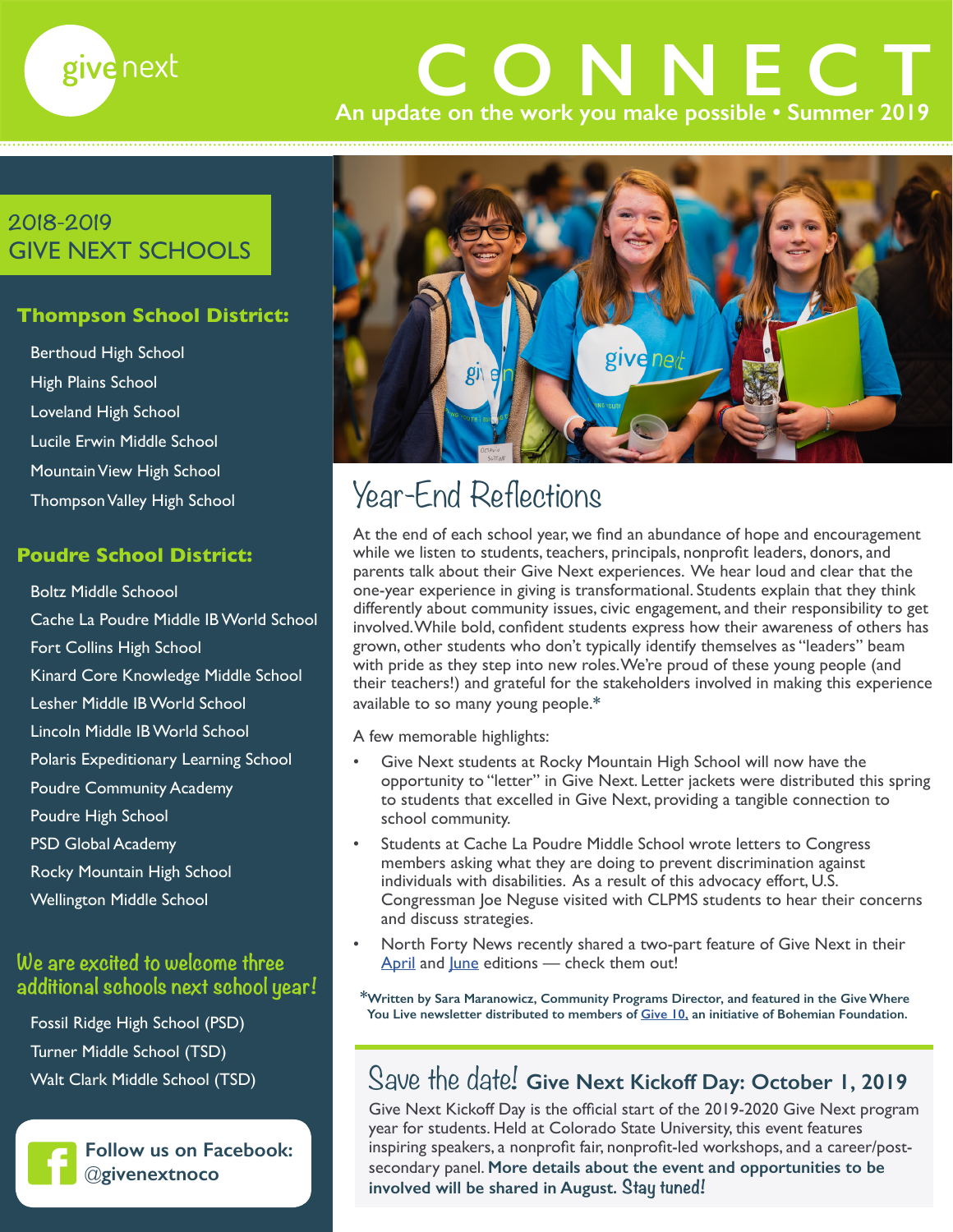

# **An update on the work you make possible • Summer 2019 CONNECT**

### **2018-2019** GIVE NEXT SCHOOLS

### **Thompson School District:**

Berthoud High School High Plains School Loveland High School Lucile Erwin Middle School Mountain View High School Thompson Valley High School

### **Poudre School District:**

Boltz Middle Schoool Cache La Poudre Middle IB World School Fort Collins High School Kinard Core Knowledge Middle School Lesher Middle IB World School Lincoln Middle IB World School Polaris Expeditionary Learning School Poudre Community Academy Poudre High School PSD Global Academy Rocky Mountain High School Wellington Middle School

### **We are excited to welcome three additional schools next school year!**

Fossil Ridge High School (PSD) Turner Middle School (TSD) Walt Clark Middle School (TSD)



**Follow us on Facebook:** @**[givenextnoco](https://www.facebook.com/givenextnoco/?eid=ARAxQWdABxdvUR4WlADHwFRyzbKn9FPKKncoQimv4RYwFiyxqAA4MXzHMwB4Bi7dApDrsOQzdnXlLPg3)**



## Year-End Reflections

At the end of each school year, we find an abundance of hope and encouragement while we listen to students, teachers, principals, nonprofit leaders, donors, and parents talk about their Give Next experiences. We hear loud and clear that the one-year experience in giving is transformational. Students explain that they think differently about community issues, civic engagement, and their responsibility to get involved. While bold, confident students express how their awareness of others has grown, other students who don't typically identify themselves as "leaders" beam with pride as they step into new roles. We're proud of these young people (and their teachers!) and grateful for the stakeholders involved in making this experience available to so many young people.**\***

A few memorable highlights:

- Give Next students at Rocky Mountain High School will now have the opportunity to "letter" in Give Next. Letter jackets were distributed this spring to students that excelled in Give Next, providing a tangible connection to school community.
- Students at Cache La Poudre Middle School wrote letters to Congress members asking what they are doing to prevent discrimination against individuals with disabilities. As a result of this advocacy effort, U.S. Congressman Joe Neguse visited with CLPMS students to hear their concerns and discuss strategies.
- North Forty News recently shared a two-part feature of Give Next in their [April](https://northfortynews.com/students-support-nonprofits-through-give-next/) and [June](https://northfortynews.com/give-next-students-celebrate-a-year-of-transformative-learning/) editions - check them out!

**\*Written by Sara Maranowicz, Community Programs Director, and featured in the Give Where You Live newsletter distributed to members of [Give 10,](http://www.give10.org) an initiative of Bohemian Foundation.**

## Save the date! **Give Next Kickoff Day: October 1, 2019**

Give Next Kickoff Day is the official start of the 2019-2020 Give Next program year for students. Held at Colorado State University, this event features inspiring speakers, a nonprofit fair, nonprofit-led workshops, and a career/postsecondary panel. **More details about the event and opportunities to be involved will be shared in August. Stay tuned!**